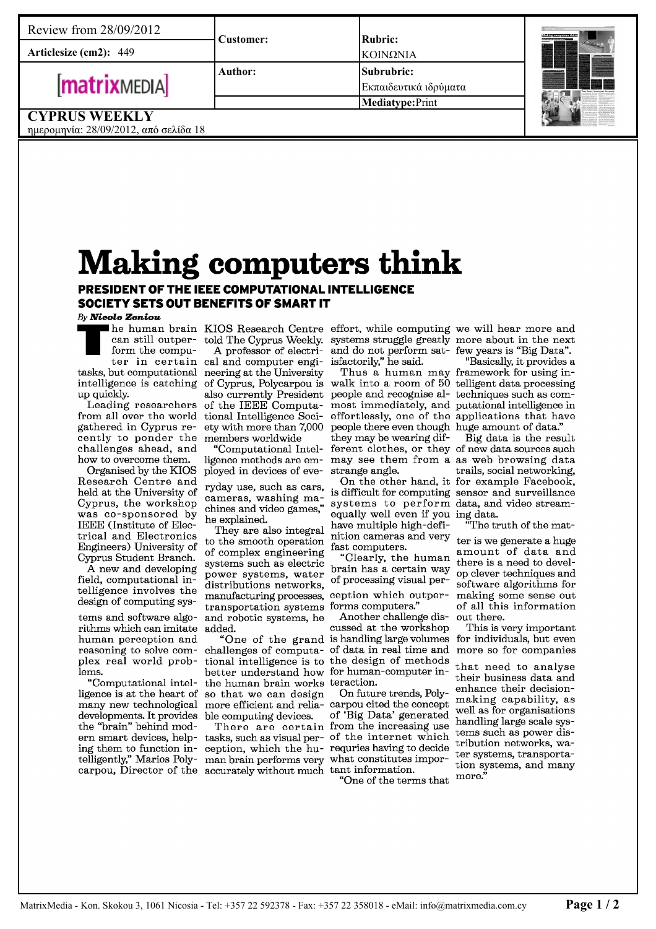**Articlesize (cm2):** 449

# **matrixMEDIA**

**Subrubric: Mediatype:** Print **Rubric:** Εκπαιδευτικά ιδρύματα ΚΟΙΝΩΝΙΑ



## **CYPRUS WEEKLY**

ημερομηνία: 28/09/2012, από σελίδα 18

# Making computers think

### PRESIDENT OF THE IEEE COMPUTATIONAL INTELLIGENCE SOCIETY SETS OUT BENEFITS OF SMART IT

**Author:**

**Customer:**

#### By Nicole Zeniou

can still outperform the compuintelligence is catching of Cyprus, Polycarpou is up quickly.

from all over the world tional Intelligence Socigathered in Cyprus recently to ponder the members worldwide challenges ahead, and how to overcome them.

Organised by the KIOS Research Centre and held at the University of Cyprus, the workshop was co-sponsored by IEEE (Institute of Electrical and Electronics Engineers) University of Cyprus Student Branch.

A new and developing field, computational intelligence involves the design of computing sys-

tems and software algorithms which can imitate human perception and reasoning to solve complex real world problems.

"Computational intelligence is at the heart of developments. It provides ble computing devices. the "brain" behind modern smart devices, helping them to function in-

 $\blacksquare$   $\blacksquare$  he human brain KIOS Research Centre effort, while computing we will hear more and ter in certain cal and computer engitasks, but computational neering at the University told The Cyprus Weekly. A professor of electri-

Leading researchers of the IEEE Computaety with more than 7,000

"Computational Intelligence methods are employed in devices of eve-

ryday use, such as cars, cameras, washing machines and video games," he explained.

They are also integral to the smooth operation of complex engineering systems such as electric power systems, water distributions networks, manufacturing processes, transportation systems forms computers." and robotic systems, he added.

many new technological more efficient and relia-carpou cited the concept challenges of computa-of data in real time and tional intelligence is to the design of methods better understand how for human-computer inthe human brain works teraction. so that we can design

telligently," Marios Poly-man brain performs very what constitutes imporcarpou, Director of the accurately without much tant information. tasks, such as visual perception, which the hu-

systems struggle greatly more about in the next and do not perform satisfactorily," he said.

also currently President people and recognise al-techniques such as comwalk into a room of 50 telligent data processing most immediately, and putational intelligence in effortlessly, one of the applications that have people there even though huge amount of data." they may be wearing different clothes, or they of new data sources such may see them from a as web browsing data strange angle.

> is difficult for computing sensor and surveillance systems to perform data, and video streamequally well even if you have multiple high-definition cameras and very fast computers.

"Clearly, the human brain has a certain way of processing visual per-

ception which outper-

"One of the grand is handling large volumes Another challenge discussed at the workshop

There are certain from the increasing use On future trends, Polyof 'Big Data' generated of the internet which requries having to decide

"One of the terms that

few years is "Big Data".

Thus a human may framework for using in-"Basically, it provides a

On the other hand, it for example Facebook, Big data is the result trails, social networking, ing data. "The truth of the mat-

ter is we generate a huge amount of data and there is a need to develop clever techniques and software algorithms for making some sense out of all this information out there.

This is very important for individuals, but even more so for companies

that need to analyse their business data and enhance their decisionmaking capability, as well as for organisations handling large scale systems such as power distribution networks, water systems, transportation systems, and many more."